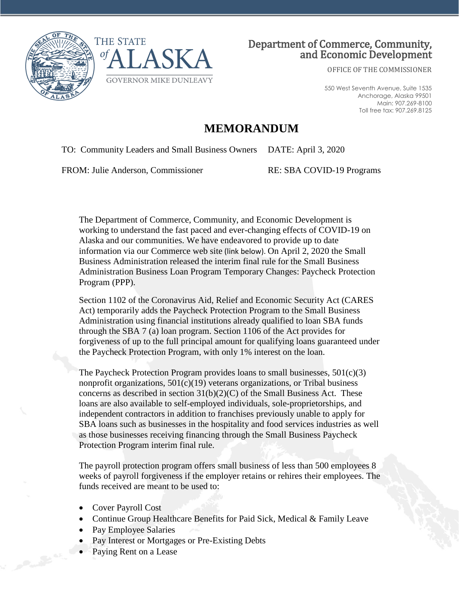



## Department of Commerce, Community, and Economic Development

OFFICE OF THE COMMISSIONER

550 West Seventh Avenue, Suite 1535 Anchorage, Alaska 99501 Main: 907.269-8100 Toll free tax: 907.269.8125

## **MEMORANDUM**

TO: Community Leaders and Small Business Owners DATE: April 3, 2020

FROM: Julie Anderson, Commissioner RE: SBA COVID-19 Programs

The Department of Commerce, Community, and Economic Development is working to understand the fast paced and ever-changing effects of COVID-19 on Alaska and our communities. We have endeavored to provide up to date information via our Commerce web site (link below). On April 2, 2020 the Small Business Administration released the interim final rule for the Small Business Administration Business Loan Program Temporary Changes: Paycheck Protection Program (PPP).

Section 1102 of the Coronavirus Aid, Relief and Economic Security Act (CARES Act) temporarily adds the Paycheck Protection Program to the Small Business Administration using financial institutions already qualified to loan SBA funds through the SBA 7 (a) loan program. Section 1106 of the Act provides for forgiveness of up to the full principal amount for qualifying loans guaranteed under the Paycheck Protection Program, with only 1% interest on the loan.

The Paycheck Protection Program provides loans to small businesses,  $501(c)(3)$ nonprofit organizations, 501(c)(19) veterans organizations, or Tribal business concerns as described in section  $31(b)(2)(C)$  of the Small Business Act. These loans are also available to self-employed individuals, sole-proprietorships, and independent contractors in addition to franchises previously unable to apply for SBA loans such as businesses in the hospitality and food services industries as well as those businesses receiving financing through the Small Business Paycheck Protection Program interim final rule.

The payroll protection program offers small business of less than 500 employees 8 weeks of payroll forgiveness if the employer retains or rehires their employees. The funds received are meant to be used to:

- Cover Payroll Cost
- Continue Group Healthcare Benefits for Paid Sick, Medical & Family Leave
- Pay Employee Salaries
- Pay Interest or Mortgages or Pre-Existing Debts
- Paying Rent on a Lease